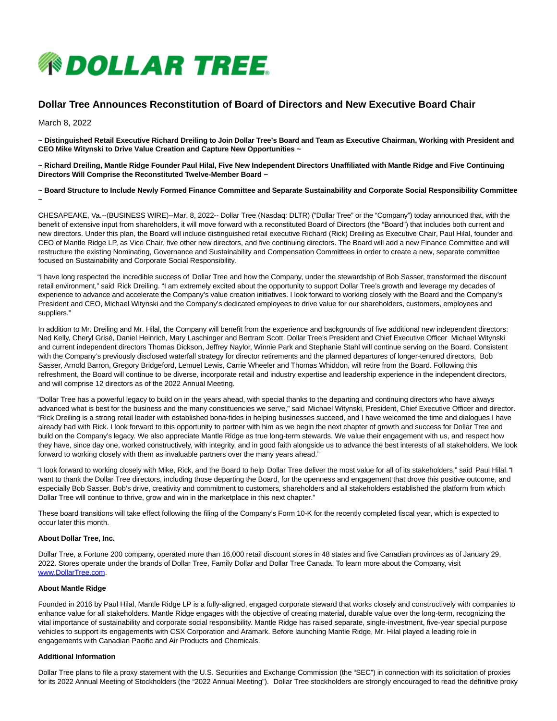

# **Dollar Tree Announces Reconstitution of Board of Directors and New Executive Board Chair**

March 8, 2022

**~ Distinguished Retail Executive Richard Dreiling to Join Dollar Tree's Board and Team as Executive Chairman, Working with President and CEO Mike Witynski to Drive Value Creation and Capture New Opportunities ~**

**~ Richard Dreiling, Mantle Ridge Founder Paul Hilal, Five New Independent Directors Unaffiliated with Mantle Ridge and Five Continuing Directors Will Comprise the Reconstituted Twelve-Member Board ~**

**~ Board Structure to Include Newly Formed Finance Committee and Separate Sustainability and Corporate Social Responsibility Committee ~**

CHESAPEAKE, Va.--(BUSINESS WIRE)--Mar. 8, 2022-- Dollar Tree (Nasdaq: DLTR) ("Dollar Tree" or the "Company") today announced that, with the benefit of extensive input from shareholders, it will move forward with a reconstituted Board of Directors (the "Board") that includes both current and new directors. Under this plan, the Board will include distinguished retail executive Richard (Rick) Dreiling as Executive Chair, Paul Hilal, founder and CEO of Mantle Ridge LP, as Vice Chair, five other new directors, and five continuing directors. The Board will add a new Finance Committee and will restructure the existing Nominating, Governance and Sustainability and Compensation Committees in order to create a new, separate committee focused on Sustainability and Corporate Social Responsibility.

"I have long respected the incredible success of Dollar Tree and how the Company, under the stewardship of Bob Sasser, transformed the discount retail environment," said Rick Dreiling. "I am extremely excited about the opportunity to support Dollar Tree's growth and leverage my decades of experience to advance and accelerate the Company's value creation initiatives. I look forward to working closely with the Board and the Company's President and CEO, Michael Witynski and the Company's dedicated employees to drive value for our shareholders, customers, employees and suppliers."

In addition to Mr. Dreiling and Mr. Hilal, the Company will benefit from the experience and backgrounds of five additional new independent directors: Ned Kelly, Cheryl Grisé, Daniel Heinrich, Mary Laschinger and Bertram Scott. Dollar Tree's President and Chief Executive Officer Michael Witynski and current independent directors Thomas Dickson, Jeffrey Naylor, Winnie Park and Stephanie Stahl will continue serving on the Board. Consistent with the Company's previously disclosed waterfall strategy for director retirements and the planned departures of longer-tenured directors, Bob Sasser, Arnold Barron, Gregory Bridgeford, Lemuel Lewis, Carrie Wheeler and Thomas Whiddon, will retire from the Board. Following this refreshment, the Board will continue to be diverse, incorporate retail and industry expertise and leadership experience in the independent directors, and will comprise 12 directors as of the 2022 Annual Meeting.

"Dollar Tree has a powerful legacy to build on in the years ahead, with special thanks to the departing and continuing directors who have always advanced what is best for the business and the many constituencies we serve," said Michael Witynski, President, Chief Executive Officer and director. "Rick Dreiling is a strong retail leader with established bona-fides in helping businesses succeed, and I have welcomed the time and dialogues I have already had with Rick. I look forward to this opportunity to partner with him as we begin the next chapter of growth and success for Dollar Tree and build on the Company's legacy. We also appreciate Mantle Ridge as true long-term stewards. We value their engagement with us, and respect how they have, since day one, worked constructively, with integrity, and in good faith alongside us to advance the best interests of all stakeholders. We look forward to working closely with them as invaluable partners over the many years ahead."

"I look forward to working closely with Mike, Rick, and the Board to help Dollar Tree deliver the most value for all of its stakeholders," said Paul Hilal. "I want to thank the Dollar Tree directors, including those departing the Board, for the openness and engagement that drove this positive outcome, and especially Bob Sasser. Bob's drive, creativity and commitment to customers, shareholders and all stakeholders established the platform from which Dollar Tree will continue to thrive, grow and win in the marketplace in this next chapter."

These board transitions will take effect following the filing of the Company's Form 10-K for the recently completed fiscal year, which is expected to occur later this month.

### **About Dollar Tree, Inc.**

Dollar Tree, a Fortune 200 company, operated more than 16,000 retail discount stores in 48 states and five Canadian provinces as of January 29, 2022. Stores operate under the brands of Dollar Tree, Family Dollar and Dollar Tree Canada. To learn more about the Company, visit [www.DollarTree.com.](https://cts.businesswire.com/ct/CT?id=smartlink&url=http%3A%2F%2Fwww.DollarTree.com&esheet=52591123&newsitemid=20220307006013&lan=en-US&anchor=www.DollarTree.com&index=1&md5=7b0c145b23786dd5999889ce1644a583)

#### **About Mantle Ridge**

Founded in 2016 by Paul Hilal, Mantle Ridge LP is a fully-aligned, engaged corporate steward that works closely and constructively with companies to enhance value for all stakeholders. Mantle Ridge engages with the objective of creating material, durable value over the long-term, recognizing the vital importance of sustainability and corporate social responsibility. Mantle Ridge has raised separate, single-investment, five-year special purpose vehicles to support its engagements with CSX Corporation and Aramark. Before launching Mantle Ridge, Mr. Hilal played a leading role in engagements with Canadian Pacific and Air Products and Chemicals.

## **Additional Information**

Dollar Tree plans to file a proxy statement with the U.S. Securities and Exchange Commission (the "SEC") in connection with its solicitation of proxies for its 2022 Annual Meeting of Stockholders (the "2022 Annual Meeting"). Dollar Tree stockholders are strongly encouraged to read the definitive proxy